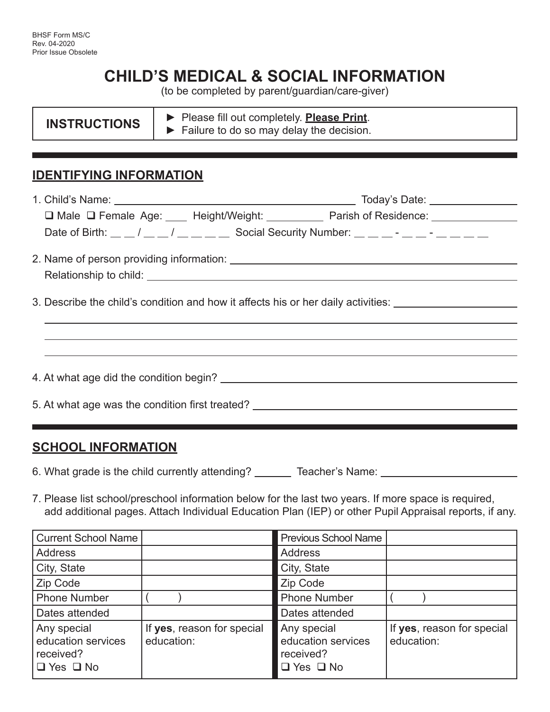# **CHILD'S MEDICAL & SOCIAL INFORMATION**

(to be completed by parent/guardian/care-giver)

|  | <b>INSTRUCTIONS</b> | Please fill out completely. <b>Please Print</b> .              |  |
|--|---------------------|----------------------------------------------------------------|--|
|  |                     | $\blacktriangleright$ Failure to do so may delay the decision. |  |

### **IDENTIFYING INFORMATION**

| □ Male □ Female Age: ____ Height/Weight: __________ Parish of Residence: _____________                                                                                   |  |  |  |  |  |
|--------------------------------------------------------------------------------------------------------------------------------------------------------------------------|--|--|--|--|--|
| Date of Birth: $\frac{m}{m}$ / $\frac{m}{m}$ / $\frac{m}{m}$ Social Security Number: $\frac{m}{m}$ $\frac{m}{m}$ $\frac{m}{m}$ $\frac{m}{m}$ $\frac{m}{m}$ $\frac{m}{m}$ |  |  |  |  |  |
|                                                                                                                                                                          |  |  |  |  |  |
|                                                                                                                                                                          |  |  |  |  |  |
|                                                                                                                                                                          |  |  |  |  |  |
| 3. Describe the child's condition and how it affects his or her daily activities:                                                                                        |  |  |  |  |  |
|                                                                                                                                                                          |  |  |  |  |  |
|                                                                                                                                                                          |  |  |  |  |  |
|                                                                                                                                                                          |  |  |  |  |  |
| 4. At what age did the condition begin?                                                                                                                                  |  |  |  |  |  |
|                                                                                                                                                                          |  |  |  |  |  |
| 5. At what age was the condition first treated? ________________________________                                                                                         |  |  |  |  |  |
|                                                                                                                                                                          |  |  |  |  |  |

#### **SCHOOL INFORMATION**

6. What grade is the child currently attending? \_\_\_\_\_\_\_ Teacher's Name: \_\_\_\_\_\_\_\_\_\_\_\_\_\_\_

7. Please list school/preschool information below for the last two years. If more space is required, add additional pages. Attach Individual Education Plan (IEP) or other Pupil Appraisal reports, if any.

| Current School Name                                                    |                                          | <b>Previous School Name</b>                                            |                                          |
|------------------------------------------------------------------------|------------------------------------------|------------------------------------------------------------------------|------------------------------------------|
| <b>Address</b>                                                         |                                          | Address                                                                |                                          |
| City, State                                                            |                                          | City, State                                                            |                                          |
| Zip Code                                                               |                                          | Zip Code                                                               |                                          |
| <b>Phone Number</b>                                                    |                                          | <b>Phone Number</b>                                                    |                                          |
| Dates attended                                                         |                                          | Dates attended                                                         |                                          |
| Any special<br>education services<br>received?<br>$\Box$ Yes $\Box$ No | If yes, reason for special<br>education: | Any special<br>education services<br>received?<br>$\Box$ Yes $\Box$ No | If yes, reason for special<br>education: |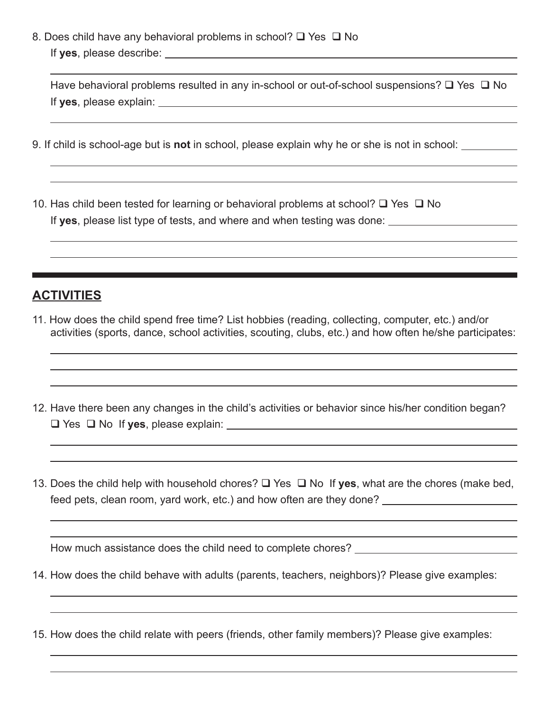8. Does child have any behavioral problems in school?  $\Box$  Yes  $\Box$  No If **yes**, please describe:

|                         | Have behavioral problems resulted in any in-school or out-of-school suspensions? $\square$ Yes $\square$ No |  |
|-------------------------|-------------------------------------------------------------------------------------------------------------|--|
| If yes, please explain: |                                                                                                             |  |

- 9. If child is school-age but is **not** in school, please explain why he or she is not in school:
- 10. Has child been tested for learning or behavioral problems at school?  $\Box$  Yes  $\Box$  No If **yes**, please list type of tests, and where and when testing was done:

#### **ACTIVITIES**

 $\overline{a}$ 

 $\overline{a}$ 

 $\overline{a}$ 

 $\overline{a}$ 

 $\overline{a}$ 

 $\overline{a}$ 

 $\overline{a}$ 

- 11. How does the child spend free time? List hobbies (reading, collecting, computer, etc.) and/or activities (sports, dance, school activities, scouting, clubs, etc.) and how often he/she participates:
- 12. Have there been any changes in the child's activities or behavior since his/her condition began? Yes No If **yes**, please explain:
- 13. Does the child help with household chores?  $\Box$  Yes  $\Box$  No If yes, what are the chores (make bed, feed pets, clean room, yard work, etc.) and how often are they done?

How much assistance does the child need to complete chores? \_\_\_\_\_\_\_\_\_\_\_\_\_\_\_\_\_\_\_\_

- 14. How does the child behave with adults (parents, teachers, neighbors)? Please give examples:
- 15. How does the child relate with peers (friends, other family members)? Please give examples: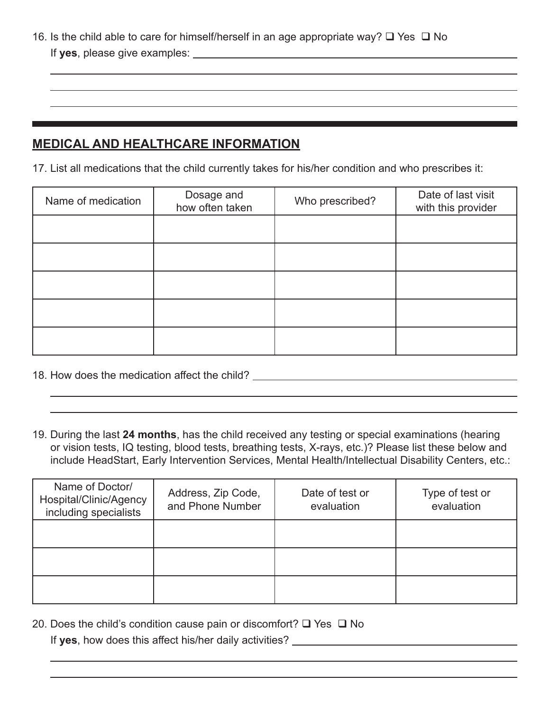16. Is the child able to care for himself/herself in an age appropriate way?  $\Box$  Yes  $\Box$  No If **yes**, please give examples:

## **MEDICAL AND HEALTHCARE INFORMATION**

 $\overline{a}$ 

 $\overline{a}$ 

 $\overline{a}$ 

17. List all medications that the child currently takes for his/her condition and who prescribes it:

| Name of medication | Dosage and<br>how often taken | Who prescribed? | Date of last visit<br>with this provider |
|--------------------|-------------------------------|-----------------|------------------------------------------|
|                    |                               |                 |                                          |
|                    |                               |                 |                                          |
|                    |                               |                 |                                          |
|                    |                               |                 |                                          |
|                    |                               |                 |                                          |

- 18. How does the medication affect the child?
- 19. During the last **24 months**, has the child received any testing or special examinations (hearing or vision tests, IQ testing, blood tests, breathing tests, X-rays, etc.)? Please list these below and include HeadStart, Early Intervention Services, Mental Health/Intellectual Disability Centers, etc.:

| Name of Doctor/<br>Hospital/Clinic/Agency<br>including specialists | Address, Zip Code,<br>and Phone Number | Date of test or<br>evaluation | Type of test or<br>evaluation |
|--------------------------------------------------------------------|----------------------------------------|-------------------------------|-------------------------------|
|                                                                    |                                        |                               |                               |
|                                                                    |                                        |                               |                               |
|                                                                    |                                        |                               |                               |

20. Does the child's condition cause pain or discomfort?  $\square$  Yes  $\square$  No

If **yes**, how does this affect his/her daily activities?